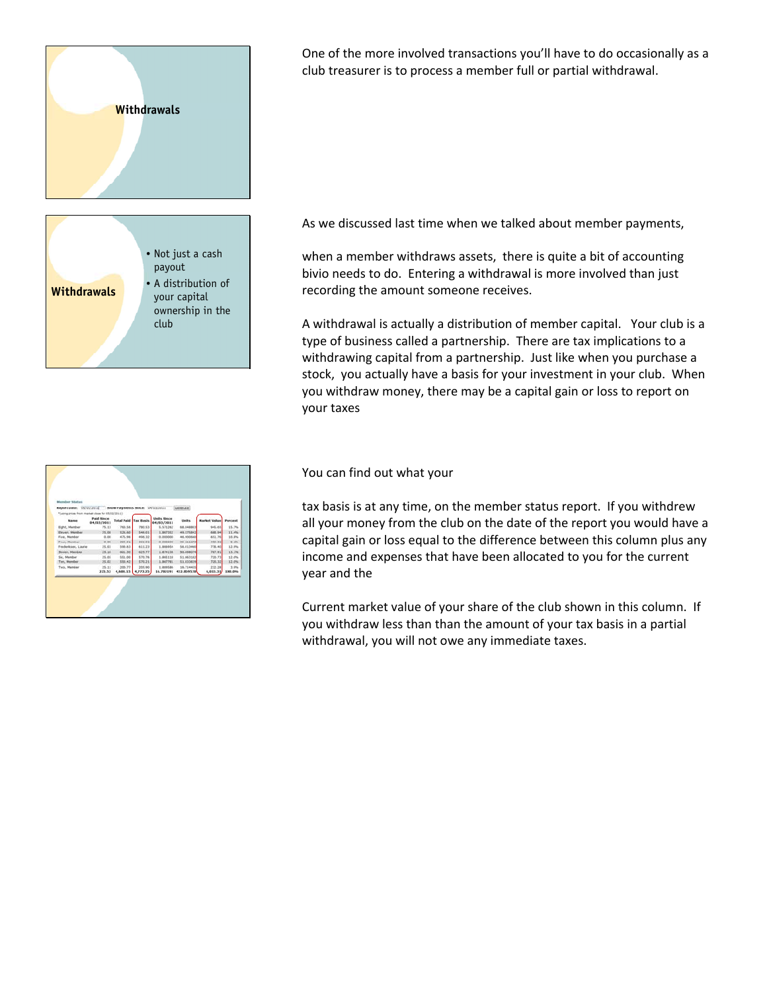

One of the more involved transactions you'll have to do occasionally as a club treasurer is to process a member full or partial withdrawal.

As we discussed last time when we talked about member payments,

when a member withdraws assets, there is quite a bit of accounting bivio needs to do. Entering a withdrawal is more involved than just recording the amount someone receives.

A withdrawal is actually a distribution of member capital. Your club is a type of business called a partnership. There are tax implications to a withdrawing capital from a partnership. Just like when you purchase a stock, you actually have a basis for your investment in your club. When you withdraw money, there may be a capital gain or loss to report on your taxes

| Report Date: 05/03/2011                          |                                 | Show Payments Since: 04/03/2011 |          |                           | Generate     |                     |         |
|--------------------------------------------------|---------------------------------|---------------------------------|----------|---------------------------|--------------|---------------------|---------|
| *Cusing prices from market close for 03/02/2011) |                                 |                                 |          |                           |              |                     |         |
| Name                                             | <b>Paid Since</b><br>04/03/2011 | <b>Total Paid Tax Basis</b>     |          | Units Sisce<br>04/03/2011 | <b>Units</b> | <b>Market Value</b> | Percent |
| Eight, Manber                                    | 75.13                           | 760.55                          | 760.53   | 5.571362                  | 68,048803    | 945.65              | 15.7%   |
| Elever, Member                                   | 25.08                           | \$26,60                         | \$48.01  | 1,867352                  | 49.575842    | 688.94              | 33.4%   |
| First, Manhar                                    | 0.00                            | 475.96                          | 406.22   | 0.000000                  | 45, 900640   | 451.76              | 55.8%   |
| Four, Mumber                                     | 8.00                            | 350.91                          | 344.32   | 8.000000                  | 35.211273    | 409.32              | 8.1%    |
| Fredericson, Laurie                              | 25.03                           | 555.63                          | 611.23   | 1,888554                  | 58.013460    | 778.40              | 12.9%   |
| Seven, Metricer                                  | 25.10                           | 601.30                          | 628.77   | 1,874138                  | 55,008074    | 787.91              | 13.2%   |
| Six, Mamber                                      | 25.05                           | 551.00                          | 5.70.76  | 1,965118                  | 51.863182    | 720.73              | 12.0%   |
| Terr, Mandur                                     | 25.02                           | E50.42                          | 570.21   | 1,867781                  | 51,833629    | 720.32              | 12.0%   |
| Two, Mander                                      | 25.11                           | 205.77                          | 205.90   | 1.889586                  | 18.714455    | 232.28              | 3.9%    |
|                                                  | 325.52                          | 4,608.15                        | 4,773.25 | 16,782191                 | 432.859578   | 6,015.31            | 100.0%  |

You can find out what your

tax basis is at any time, on the member status report. If you withdrew all your money from the club on the date of the report you would have a capital gain or loss equal to the difference between this column plus any income and expenses that have been allocated to you for the current year and the

Current market value of your share of the club shown in this column. If you withdraw less than than the amount of your tax basis in a partial withdrawal, you will not owe any immediate taxes.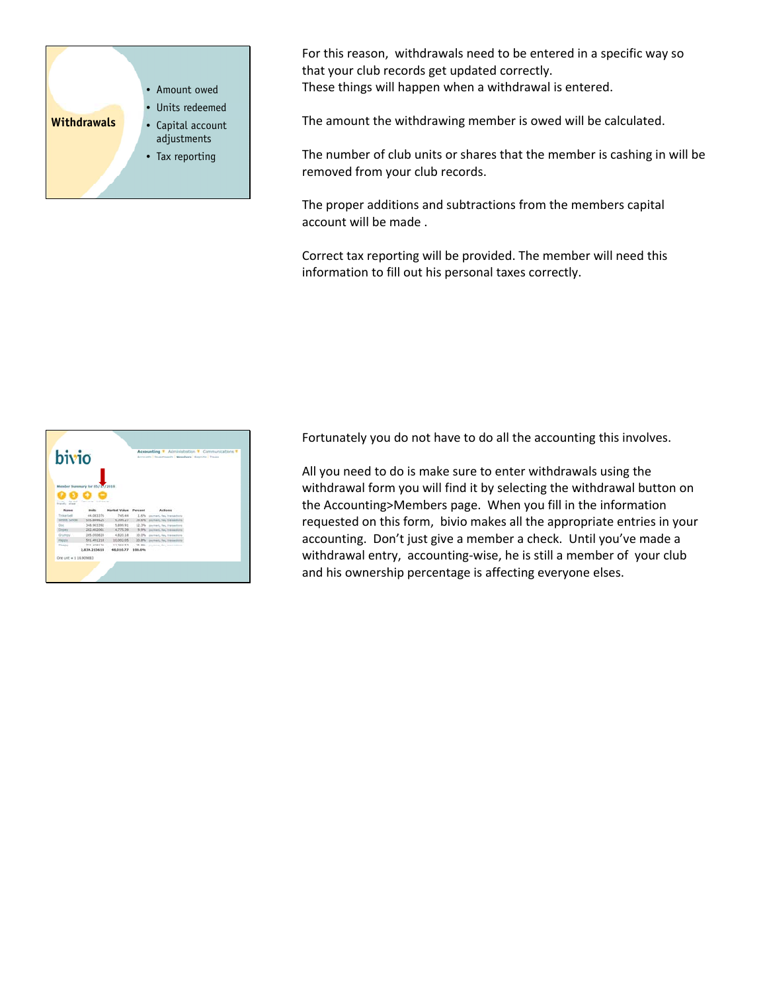

For this reason, withdrawals need to be entered in a specific way so that your club records get updated correctly. These things will happen when a withdrawal is entered.

The amount the withdrawing member is owed will be calculated.

The number of club units or shares that the member is cashing in will be removed from your club records.

The proper additions and subtractions from the members capital account will be made .

Correct tax reporting will be provided. The member will need this information to fill out his personal taxes correctly.



Fortunately you do not have to do all the accounting this involves.

All you need to do is make sure to enter withdrawals using the withdrawal form you will find it by selecting the withdrawal button on the Accounting>Members page. When you fill in the information requested on this form, bivio makes all the appropriate entries in your accounting. Don't just give a member a check. Until you've made a withdrawal entry, accounting-wise, he is still a member of your club and his ownership percentage is affecting everyone elses.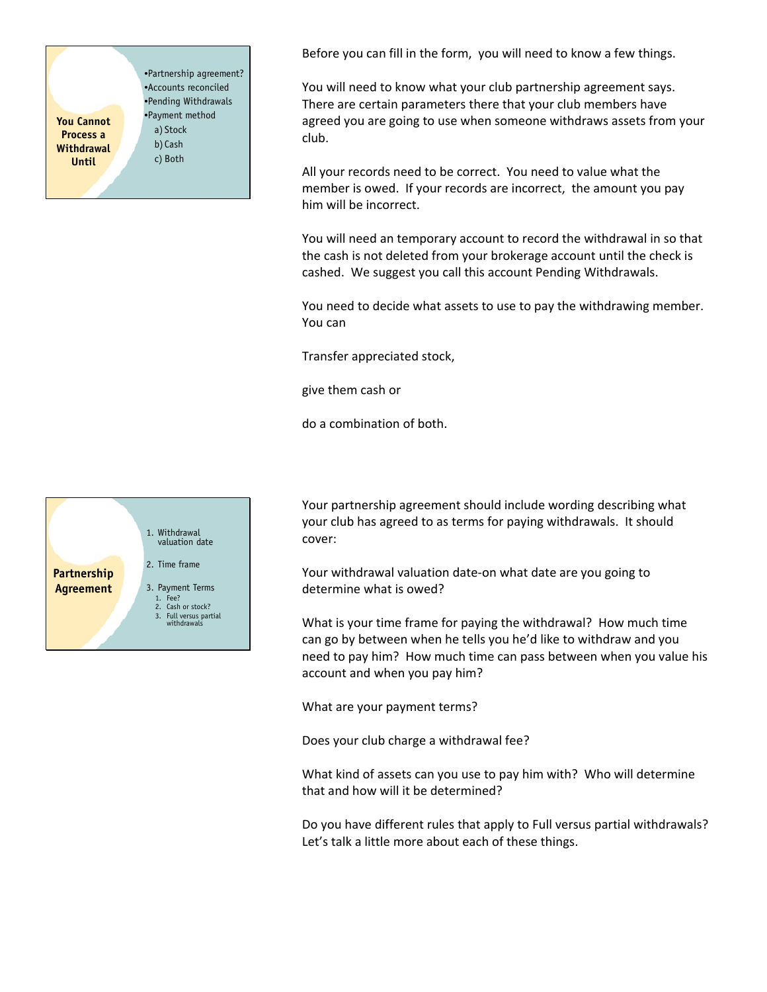**You Cannot Process a Withdrawal Until** •Partnership agreement? •Accounts reconciled •Pending Withdrawals •Payment method a) Stock b) Cash c) Both

Before you can fill in the form, you will need to know a few things.

You will need to know what your club partnership agreement says. There are certain parameters there that your club members have agreed you are going to use when someone withdraws assets from your club.

All your records need to be correct. You need to value what the member is owed. If your records are incorrect, the amount you pay him will be incorrect.

You will need an temporary account to record the withdrawal in so that the cash is not deleted from your brokerage account until the check is cashed. We suggest you call this account Pending Withdrawals.

You need to decide what assets to use to pay the withdrawing member. You can

Transfer appreciated stock,

give them cash or

do a combination of both.



Your partnership agreement should include wording describing what your club has agreed to as terms for paying withdrawals. It should cover:

Your withdrawal valuation date‐on what date are you going to determine what is owed?

What is your time frame for paying the withdrawal? How much time can go by between when he tells you he'd like to withdraw and you need to pay him? How much time can pass between when you value his account and when you pay him?

What are your payment terms?

Does your club charge a withdrawal fee?

What kind of assets can you use to pay him with? Who will determine that and how will it be determined?

Do you have different rules that apply to Full versus partial withdrawals? Let's talk a little more about each of these things.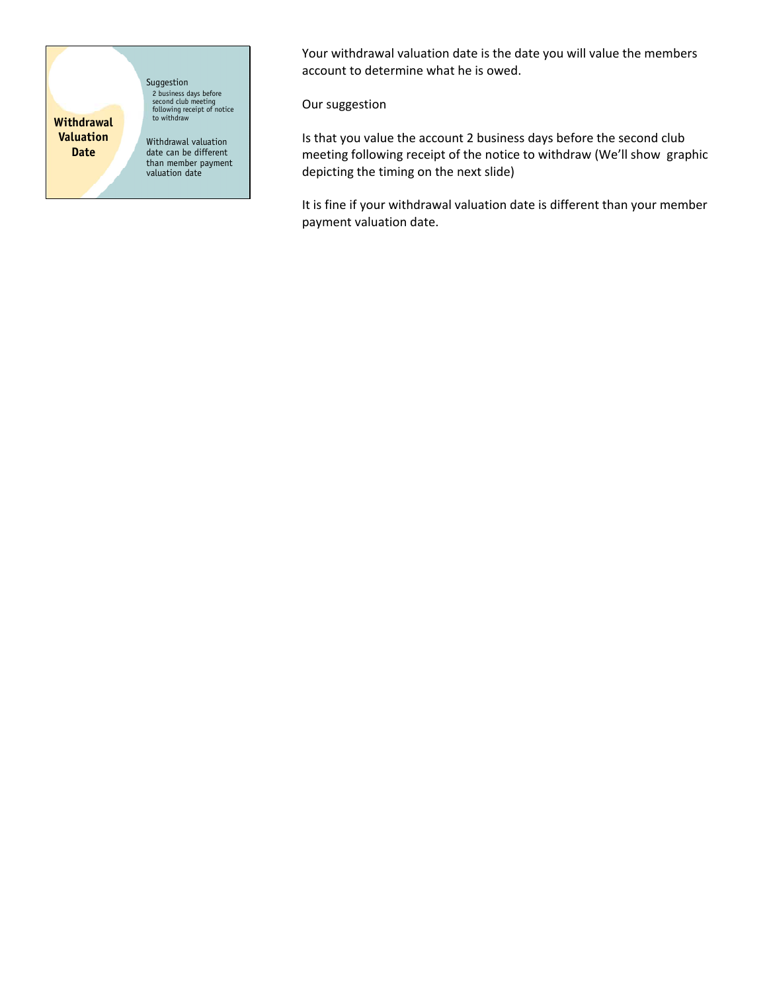**Withdrawal Valuation Date**

Suggestion 2 business days before second club meeting following receipt of notice to withdraw Withdrawal valuation

date can be different than member payment valuation date

Your withdrawal valuation date is the date you will value the members account to determine what he is owed.

Our suggestion

Is that you value the account 2 business days before the second club meeting following receipt of the notice to withdraw (We'll show graphic depicting the timing on the next slide)

It is fine if your withdrawal valuation date is different than your member payment valuation date.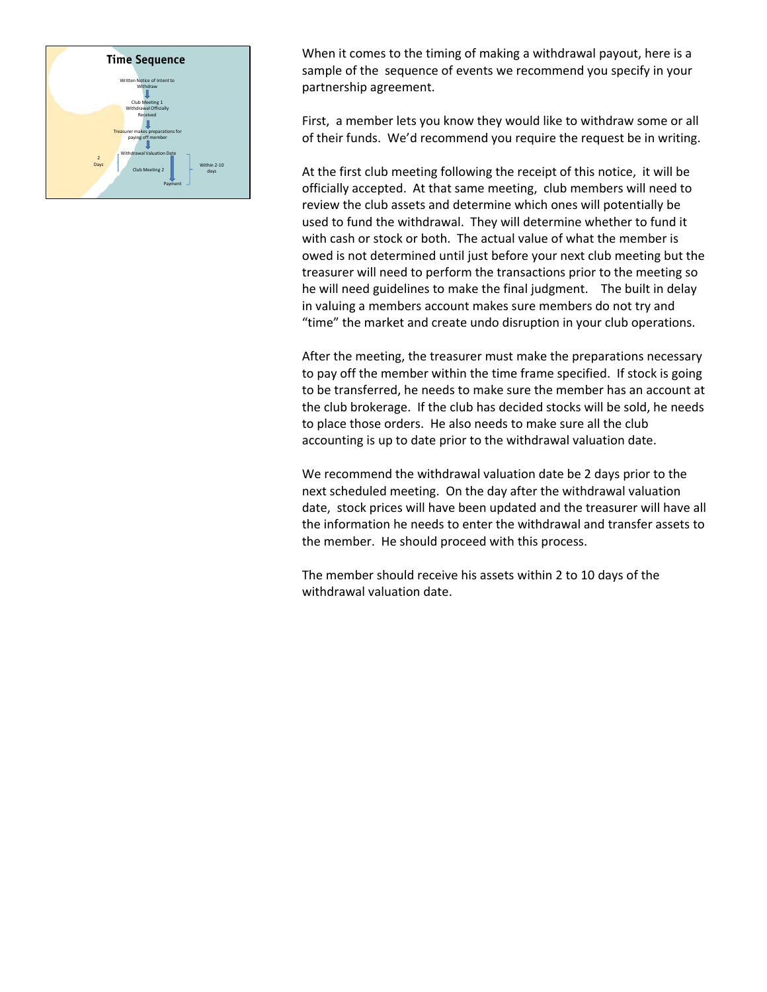

When it comes to the timing of making a withdrawal payout, here is a sample of the sequence of events we recommend you specify in your partnership agreement.

First, a member lets you know they would like to withdraw some or all of their funds. We'd recommend you require the request be in writing.

At the first club meeting following the receipt of this notice, it will be officially accepted. At that same meeting, club members will need to review the club assets and determine which ones will potentially be used to fund the withdrawal. They will determine whether to fund it with cash or stock or both. The actual value of what the member is owed is not determined until just before your next club meeting but the treasurer will need to perform the transactions prior to the meeting so he will need guidelines to make the final judgment. The built in delay in valuing a members account makes sure members do not try and "time" the market and create undo disruption in your club operations.

After the meeting, the treasurer must make the preparations necessary to pay off the member within the time frame specified. If stock is going to be transferred, he needs to make sure the member has an account at the club brokerage. If the club has decided stocks will be sold, he needs to place those orders. He also needs to make sure all the club accounting is up to date prior to the withdrawal valuation date.

We recommend the withdrawal valuation date be 2 days prior to the next scheduled meeting. On the day after the withdrawal valuation date, stock prices will have been updated and the treasurer will have all the information he needs to enter the withdrawal and transfer assets to the member. He should proceed with this process.

The member should receive his assets within 2 to 10 days of the withdrawal valuation date.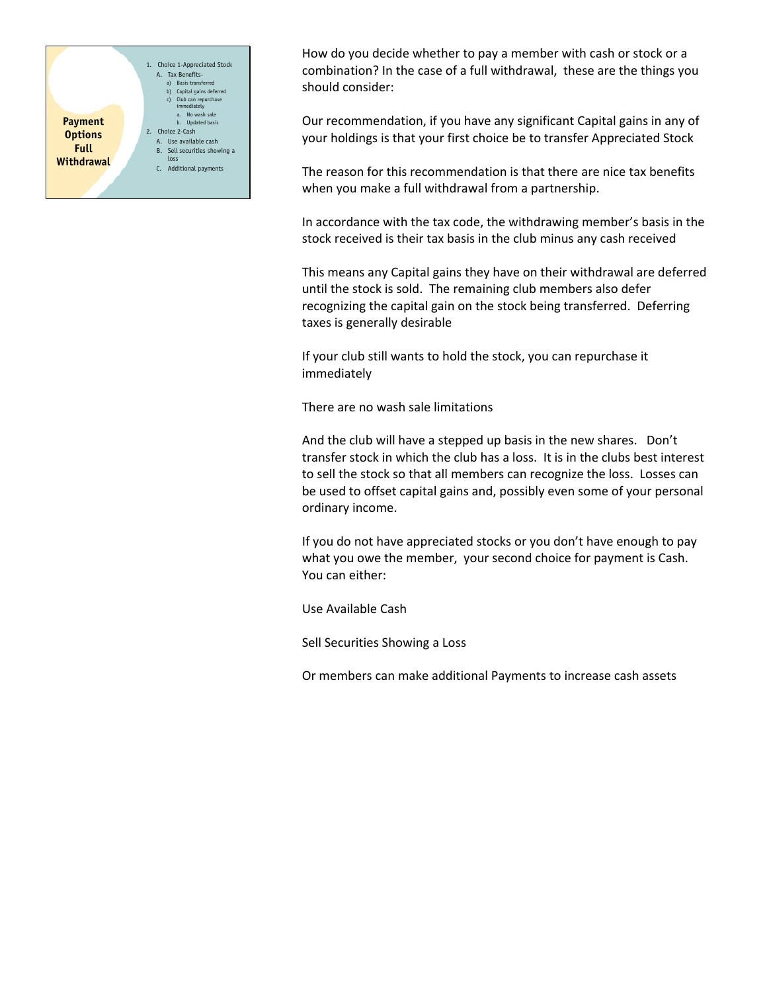

How do you decide whether to pay a member with cash or stock or a combination? In the case of a full withdrawal, these are the things you should consider:

Our recommendation, if you have any significant Capital gains in any of your holdings is that your first choice be to transfer Appreciated Stock

The reason for this recommendation is that there are nice tax benefits when you make a full withdrawal from a partnership.

In accordance with the tax code, the withdrawing member's basis in the stock received is their tax basis in the club minus any cash received

This means any Capital gains they have on their withdrawal are deferred until the stock is sold. The remaining club members also defer recognizing the capital gain on the stock being transferred. Deferring taxes is generally desirable

If your club still wants to hold the stock, you can repurchase it immediately

There are no wash sale limitations

And the club will have a stepped up basis in the new shares. Don't transfer stock in which the club has a loss. It is in the clubs best interest to sell the stock so that all members can recognize the loss. Losses can be used to offset capital gains and, possibly even some of your personal ordinary income.

If you do not have appreciated stocks or you don't have enough to pay what you owe the member, your second choice for payment is Cash. You can either:

Use Available Cash

Sell Securities Showing a Loss

Or members can make additional Payments to increase cash assets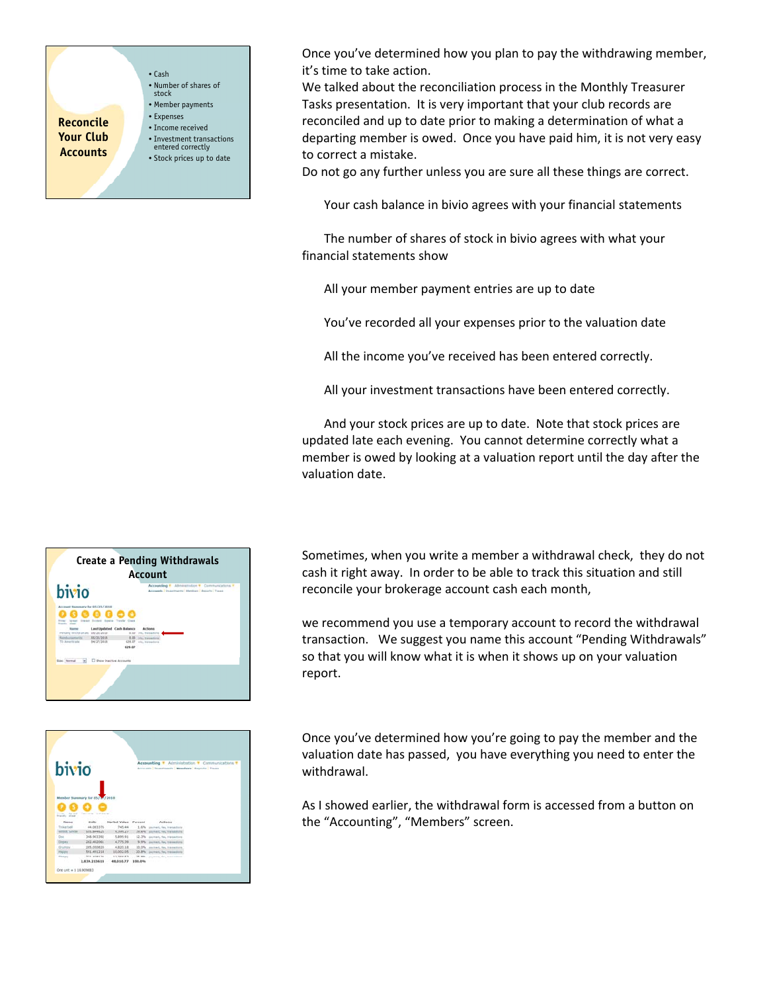

Once you've determined how you plan to pay the withdrawing member, it's time to take action.

We talked about the reconciliation process in the Monthly Treasurer Tasks presentation. It is very important that your club records are reconciled and up to date prior to making a determination of what a departing member is owed. Once you have paid him, it is not very easy to correct a mistake.

Do not go any further unless you are sure all these things are correct.

Your cash balance in bivio agrees with your financial statements

The number of shares of stock in bivio agrees with what your financial statements show

All your member payment entries are up to date

You've recorded all your expenses prior to the valuation date

All the income you've received has been entered correctly.

All your investment transactions have been entered correctly.

And your stock prices are up to date. Note that stock prices are updated late each evening. You cannot determine correctly what a member is owed by looking at a valuation report until the day after the valuation date.





Sometimes, when you write a member a withdrawal check, they do not cash it right away. In order to be able to track this situation and still reconcile your brokerage account cash each month,

we recommend you use a temporary account to record the withdrawal transaction. We suggest you name this account "Pending Withdrawals" so that you will know what it is when it shows up on your valuation report.

Once you've determined how you're going to pay the member and the valuation date has passed, you have everything you need to enter the withdrawal.

As I showed earlier, the withdrawal form is accessed from a button on the "Accounting", "Members" screen.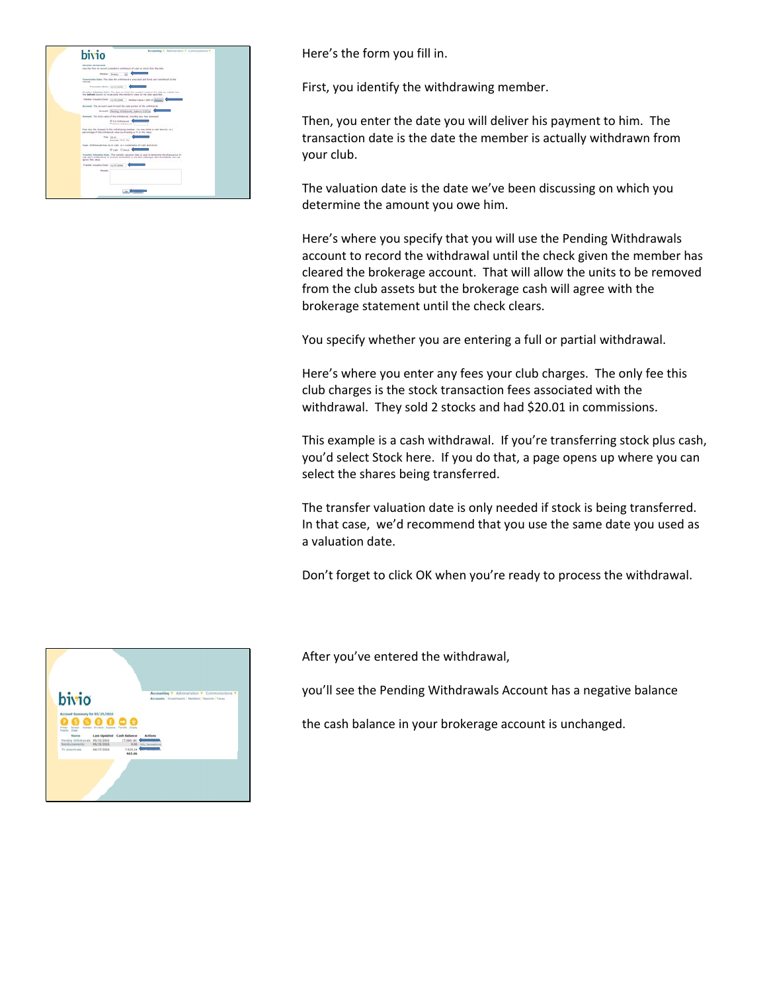| bivio                                                                                               | Bureauchea + Adrianovation + Communications +                                                                                                                                               |
|-----------------------------------------------------------------------------------------------------|---------------------------------------------------------------------------------------------------------------------------------------------------------------------------------------------|
| Member Willelmore<br>the fits first by record a resider's criticized of cash or sixch from Ma clob. |                                                                                                                                                                                             |
| <b>Henber</b> Steely                                                                                | 一<br>×                                                                                                                                                                                      |
| <b>CONTRACT</b>                                                                                     | Inserected bate. The data the antistrent is elected and funds are transferred by the                                                                                                        |
| Transaction Barby, as will also                                                                     |                                                                                                                                                                                             |
| for designed buyers to construints the institute years of the hote boarded.                         | Newsletz Valuation Sate. The date on which the newslet's write in the ciab are widen to the                                                                                                 |
| transport between them the state of the control of the control of the basic                         |                                                                                                                                                                                             |
| Arrest To structural think by color of its without.                                                 |                                                                                                                                                                                             |
|                                                                                                     | Arrowth, Davidog Hillsboroth, Salarya E.H.Las.                                                                                                                                              |
| Assume, The lots value of the entire and antiching any have assumed.                                |                                                                                                                                                                                             |
| <b>Brut mithdrakal</b><br>Children workshout                                                        | and the control of the control of                                                                                                                                                           |
| percentage of the collobated rake by middling a To' or the rakes.                                   | For the first channel to the withdrawing meeting, the max write is just immediate at                                                                                                        |
| Fee: 34.04<br><b>Bander TESS IN</b>                                                                 |                                                                                                                                                                                             |
| ham. Although the by trially, or a continuing of cash and stock-                                    |                                                                                                                                                                                             |
|                                                                                                     | <b>Branch Court Commercial</b>                                                                                                                                                              |
| space this value.                                                                                   | Enanglish Automotive Kuiny, The murally colourism data a case to determine the stiges price for<br>the chart streetments by a stock entirely and it aim are creating a cash entirely and at |
| Transfer industries Sales: Los lots coup                                                            |                                                                                                                                                                                             |
| Renate                                                                                              |                                                                                                                                                                                             |
|                                                                                                     |                                                                                                                                                                                             |
|                                                                                                     |                                                                                                                                                                                             |
|                                                                                                     |                                                                                                                                                                                             |

Here's the form you fill in.

First, you identify the withdrawing member.

Then, you enter the date you will deliver his payment to him. The transaction date is the date the member is actually withdrawn from your club.

The valuation date is the date we've been discussing on which you determine the amount you owe him.

Here's where you specify that you will use the Pending Withdrawals account to record the withdrawal until the check given the member has cleared the brokerage account. That will allow the units to be removed from the club assets but the brokerage cash will agree with the brokerage statement until the check clears.

You specify whether you are entering a full or partial withdrawal.

Here's where you enter any fees your club charges. The only fee this club charges is the stock transaction fees associated with the withdrawal. They sold 2 stocks and had \$20.01 in commissions.

This example is a cash withdrawal. If you're transferring stock plus cash, you'd select Stock here. If you do that, a page opens up where you can select the shares being transferred.

The transfer valuation date is only needed if stock is being transferred. In that case, we'd recommend that you use the same date you used as a valuation date.

Don't forget to click OK when you're ready to process the withdrawal.

After you've entered the withdrawal,

you'll see the Pending Withdrawals Account has a negative balance

the cash balance in your brokerage account is unchanged.

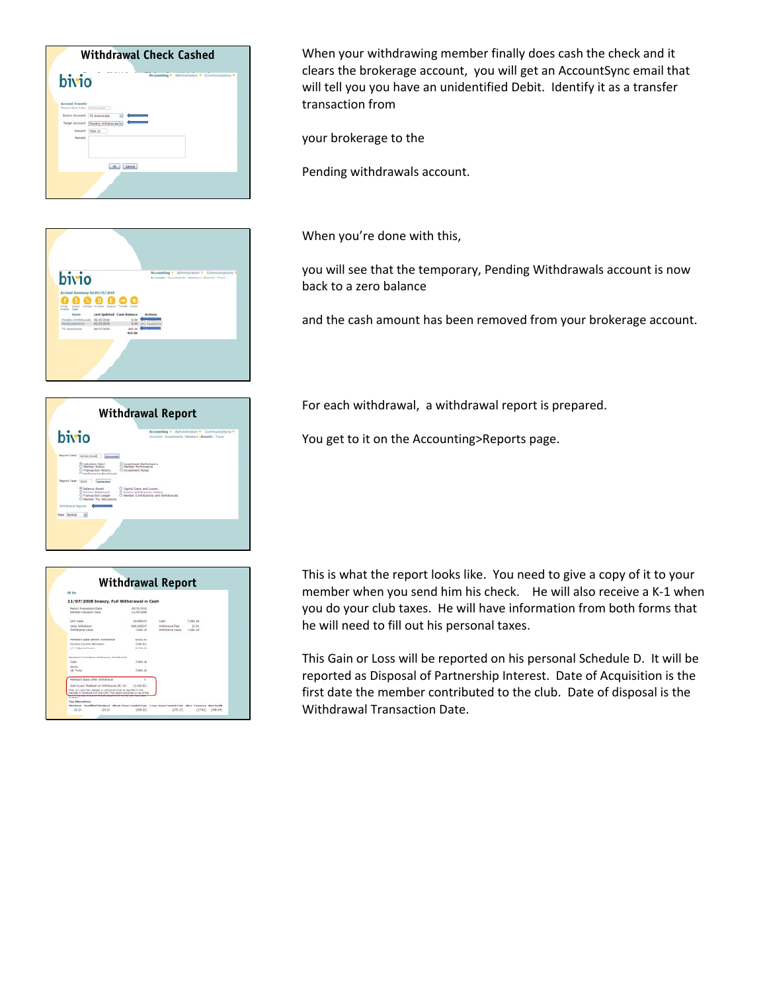



| bivio                                                                                        | Accounting * Administration * Communications *<br>Accounts   Investments   Mandard   Bagarte   Toure |
|----------------------------------------------------------------------------------------------|------------------------------------------------------------------------------------------------------|
| <b>Basnet Date: 06/26/2010</b><br>Gamerate                                                   |                                                                                                      |
| Valuation (SAV)<br>Member Status<br>Transaction History<br>C thethose and a Nanchenak        | <b>Jovestment Performance</b><br>C Member Ferhamstold<br>C Investment Notes                          |
| Report Year:<br>Generate                                                                     |                                                                                                      |
| <b>Ralance Sheet</b><br>C Steame Statement<br>Transaction Ledder<br>O Member Tax Allocations | C Capital Cains and Lesson<br>C busine and Expense Hotery<br>C Hamber Contributions and Withdrawals  |
| Withdrawal Reports                                                                           |                                                                                                      |
| Size: Normal                                                                                 |                                                                                                      |

| <b>HG High</b>                                                                                                                                                                                                      |                                                       |                                                              |                               |  |
|---------------------------------------------------------------------------------------------------------------------------------------------------------------------------------------------------------------------|-------------------------------------------------------|--------------------------------------------------------------|-------------------------------|--|
| 11/07/2008 Sneezy, Full Withdrawal in Cash                                                                                                                                                                          |                                                       |                                                              |                               |  |
| Report Preparation Cata<br>Manber Valuation Date                                                                                                                                                                    | <b>BA/25/2REB</b><br>11/05/1998                       |                                                              |                               |  |
| <b>Limit Value</b><br>Links Wilfishann<br>With East Value                                                                                                                                                           | <b><i>AR MERVILLE</i></b><br>646.106347<br>3,000, No. | <b>Cash</b><br>installation of Ford<br><b>NORTHERN STATE</b> | 7.060.18<br>36.84<br>7,092.78 |  |
| <b>Member's East Gefore Hitthdrawal</b><br>Durant Income Abscance.<br>(A) Adjusted basis                                                                                                                            | 6,053.63<br><b>CASA BAY</b><br>6,466.71               |                                                              |                               |  |
| Member's Cost Basis of Property Detributed:                                                                                                                                                                         |                                                       |                                                              |                               |  |
| Cash<br><b>Stock</b><br>(B) Telat                                                                                                                                                                                   | 7,060.18<br>×<br>7,060.18                             |                                                              |                               |  |
| Mandal's Bass After Inchinesial                                                                                                                                                                                     |                                                       |                                                              |                               |  |
| Genitized Realized on Withdrawal (81-24)<br>follow arts parts final realized an officirated final be recorded by the<br>maintenance Behadula D of the 1945. This record should be us as of the<br><b>STATISTICS</b> | [1.436.83]                                            |                                                              |                               |  |

When your withdrawing member finally does cash the check and it clears the brokerage account, you will get an AccountSync email that will tell you you have an unidentified Debit. Identify it as a transfer transaction from

your brokerage to the

Pending withdrawals account.

When you're done with this,

you will see that the temporary, Pending Withdrawals account is now back to a zero balance

and the cash amount has been removed from your brokerage account.

For each withdrawal, a withdrawal report is prepared.

You get to it on the Accounting>Reports page.

This is what the report looks like. You need to give a copy of it to your member when you send him his check. He will also receive a K-1 when you do your club taxes. He will have information from both forms that he will need to fill out his personal taxes.

This Gain or Loss will be reported on his personal Schedule D. It will be reported as Disposal of Partnership Interest. Date of Acquisition is the first date the member contributed to the club. Date of disposal is the Withdrawal Transaction Date.